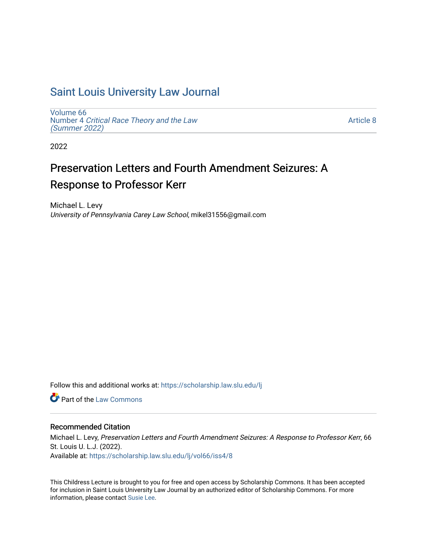## [Saint Louis University Law Journal](https://scholarship.law.slu.edu/lj)

[Volume 66](https://scholarship.law.slu.edu/lj/vol66) Number 4 [Critical Race Theory and the Law](https://scholarship.law.slu.edu/lj/vol66/iss4)  [\(Summer 2022\)](https://scholarship.law.slu.edu/lj/vol66/iss4)

[Article 8](https://scholarship.law.slu.edu/lj/vol66/iss4/8) 

2022

# Preservation Letters and Fourth Amendment Seizures: A Response to Professor Kerr

Michael L. Levy University of Pennsylvania Carey Law School, mikel31556@gmail.com

Follow this and additional works at: [https://scholarship.law.slu.edu/lj](https://scholarship.law.slu.edu/lj?utm_source=scholarship.law.slu.edu%2Flj%2Fvol66%2Fiss4%2F8&utm_medium=PDF&utm_campaign=PDFCoverPages) 

**C** Part of the [Law Commons](https://network.bepress.com/hgg/discipline/578?utm_source=scholarship.law.slu.edu%2Flj%2Fvol66%2Fiss4%2F8&utm_medium=PDF&utm_campaign=PDFCoverPages)

### Recommended Citation

Michael L. Levy, Preservation Letters and Fourth Amendment Seizures: A Response to Professor Kerr, 66 St. Louis U. L.J. (2022). Available at: [https://scholarship.law.slu.edu/lj/vol66/iss4/8](https://scholarship.law.slu.edu/lj/vol66/iss4/8?utm_source=scholarship.law.slu.edu%2Flj%2Fvol66%2Fiss4%2F8&utm_medium=PDF&utm_campaign=PDFCoverPages) 

This Childress Lecture is brought to you for free and open access by Scholarship Commons. It has been accepted for inclusion in Saint Louis University Law Journal by an authorized editor of Scholarship Commons. For more information, please contact [Susie Lee](mailto:susie.lee@slu.edu).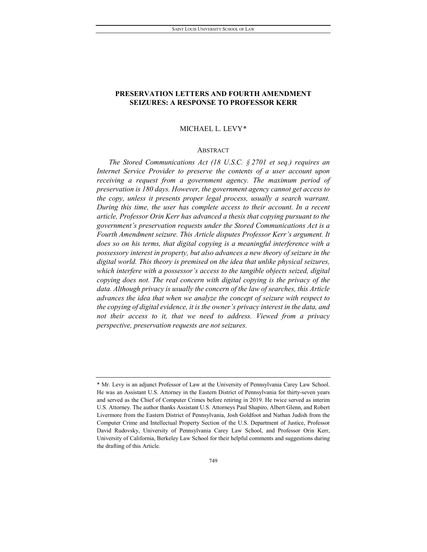### **PRESERVATION LETTERS AND FOURTH AMENDMENT SEIZURES: A RESPONSE TO PROFESSOR KERR**

### MICHAEL L. LEVY[\\*](#page-1-0)

### ABSTRACT

*The Stored Communications Act (18 U.S.C. § 2701 et seq.) requires an Internet Service Provider to preserve the contents of a user account upon receiving a request from a government agency. The maximum period of preservation is 180 days. However, the government agency cannot get access to the copy, unless it presents proper legal process, usually a search warrant. During this time, the user has complete access to their account. In a recent article, Professor Orin Kerr has advanced a thesis that copying pursuant to the government's preservation requests under the Stored Communications Act is a Fourth Amendment seizure. This Article disputes Professor Kerr's argument. It does so on his terms, that digital copying is a meaningful interference with a possessory interest in property, but also advances a new theory of seizure in the digital world. This theory is premised on the idea that unlike physical seizures, which interfere with a possessor's access to the tangible objects seized, digital copying does not. The real concern with digital copying is the privacy of the data. Although privacy is usually the concern of the law of searches, this Article advances the idea that when we analyze the concept of seizure with respect to the copying of digital evidence, it is the owner's privacy interest in the data, and not their access to it, that we need to address. Viewed from a privacy perspective, preservation requests are not seizures.*

<span id="page-1-0"></span><sup>\*</sup> Mr. Levy is an adjunct Professor of Law at the University of Pennsylvania Carey Law School. He was an Assistant U.S. Attorney in the Eastern District of Pennsylvania for thirty-seven years and served as the Chief of Computer Crimes before retiring in 2019. He twice served as interim U.S. Attorney. The author thanks Assistant U.S. Attorneys Paul Shapiro, Albert Glenn, and Robert Livermore from the Eastern District of Pennsylvania, Josh Goldfoot and Nathan Judish from the Computer Crime and Intellectual Property Section of the U.S. Department of Justice, Professor David Rudovsky, University of Pennsylvania Carey Law School, and Professor Orin Kerr, University of California, Berkeley Law School for their helpful comments and suggestions during the drafting of this Article.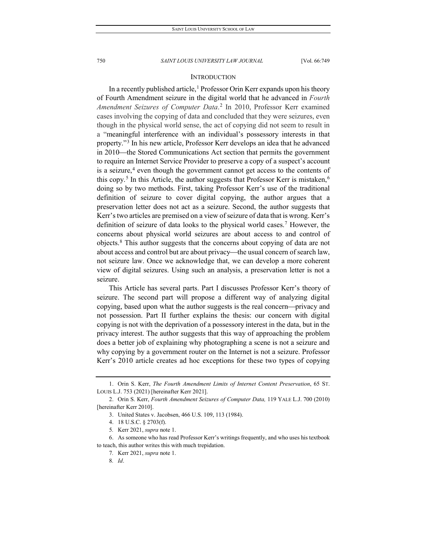### **INTRODUCTION**

In a recently published article,<sup>[1](#page-2-0)</sup> Professor Orin Kerr expands upon his theory of Fourth Amendment seizure in the digital world that he advanced in *Fourth Amendment Seizures of Computer Data*. [2](#page-2-1) In 2010, Professor Kerr examined cases involving the copying of data and concluded that they were seizures, even though in the physical world sense, the act of copying did not seem to result in a "meaningful interference with an individual's possessory interests in that property."[3](#page-2-2) In his new article, Professor Kerr develops an idea that he advanced in 2010—the Stored Communications Act section that permits the government to require an Internet Service Provider to preserve a copy of a suspect's account is a seizure,<sup>[4](#page-2-3)</sup> even though the government cannot get access to the contents of this copy.<sup>[5](#page-2-4)</sup> In this Article, the author suggests that Professor Kerr is mistaken,<sup>[6](#page-2-5)</sup> doing so by two methods. First, taking Professor Kerr's use of the traditional definition of seizure to cover digital copying, the author argues that a preservation letter does not act as a seizure. Second, the author suggests that Kerr's two articles are premised on a view of seizure of data that is wrong. Kerr's definition of seizure of data looks to the physical world cases[.7](#page-2-6) However, the concerns about physical world seizures are about access to and control of objects.[8](#page-2-7) This author suggests that the concerns about copying of data are not about access and control but are about privacy—the usual concern of search law, not seizure law. Once we acknowledge that, we can develop a more coherent view of digital seizures. Using such an analysis, a preservation letter is not a seizure.

This Article has several parts. Part I discusses Professor Kerr's theory of seizure. The second part will propose a different way of analyzing digital copying, based upon what the author suggests is the real concern-privacy and not possession. Part II further explains the thesis: our concern with digital copying is not with the deprivation of a possessory interest in the data, but in the privacy interest. The author suggests that this way of approaching the problem does a better job of explaining why photographing a scene is not a seizure and why copying by a government router on the Internet is not a seizure. Professor Kerr's 2010 article creates ad hoc exceptions for these two types of copying

<span id="page-2-0"></span><sup>1.</sup> Orin S. Kerr, *The Fourth Amendment Limits of Internet Content Preservation*, 65 ST. LOUIS L.J. 753 (2021) [hereinafter Kerr 2021].

<span id="page-2-2"></span><span id="page-2-1"></span><sup>2.</sup> Orin S. Kerr, *Fourth Amendment Seizures of Computer Data,* 119 YALE L.J. 700 (2010) [hereinafter Kerr 2010].

<sup>3.</sup> United States v. Jacobsen, 466 U.S. 109, 113 (1984).

<sup>4.</sup> 18 U.S.C. § 2703(f).

<sup>5</sup>*.* Kerr 2021, *supra* note 1.

<span id="page-2-7"></span><span id="page-2-6"></span><span id="page-2-5"></span><span id="page-2-4"></span><span id="page-2-3"></span><sup>6.</sup> As someone who has read Professor Kerr's writings frequently, and who uses his textbook to teach, this author writes this with much trepidation.

<sup>7</sup>*.* Kerr 2021, *supra* note 1.

<sup>8</sup>*. Id*.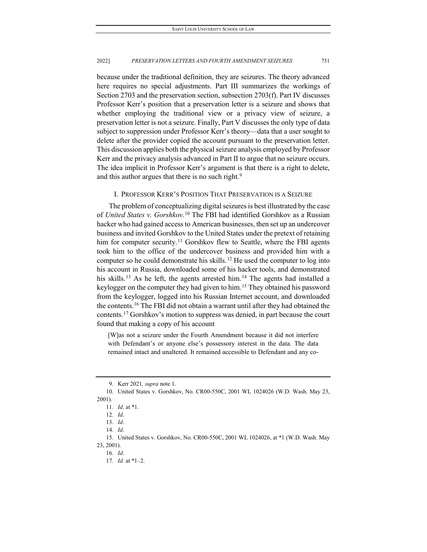because under the traditional definition, they are seizures. The theory advanced here requires no special adjustments. Part III summarizes the workings of Section 2703 and the preservation section, subsection 2703(f). Part IV discusses Professor Kerr's position that a preservation letter is a seizure and shows that whether employing the traditional view or a privacy view of seizure, a preservation letter is not a seizure. Finally, Part V discusses the only type of data subject to suppression under Professor Kerr's theory—data that a user sought to delete after the provider copied the account pursuant to the preservation letter. This discussion applies both the physical seizure analysis employed by Professor Kerr and the privacy analysis advanced in Part II to argue that no seizure occurs. The idea implicit in Professor Kerr's argument is that there is a right to delete, and this author argues that there is no such right.<sup>[9](#page-3-0)</sup>

### I. PROFESSOR KERR'S POSITION THAT PRESERVATION IS A SEIZURE

The problem of conceptualizing digital seizures is best illustrated by the case of *United States v. Gorshkov*. [10](#page-3-1) The FBI had identified Gorshkov as a Russian hacker who had gained access to American businesses, then set up an undercover business and invited Gorshkov to the United States under the pretext of retaining him for computer security.<sup>[11](#page-3-2)</sup> Gorshkov flew to Seattle, where the FBI agents took him to the office of the undercover business and provided him with a computer so he could demonstrate his skills.<sup>[12](#page-3-3)</sup> He used the computer to log into his account in Russia, downloaded some of his hacker tools, and demonstrated his skills.<sup>[13](#page-3-4)</sup> As he left, the agents arrested him.<sup>[14](#page-3-5)</sup> The agents had installed a keylogger on the computer they had given to him.<sup>[15](#page-3-6)</sup> They obtained his password from the keylogger, logged into his Russian Internet account, and downloaded the contents.[16](#page-3-7) The FBI did not obtain a warrant until after they had obtained the contents.[17](#page-3-8) Gorshkov's motion to suppress was denied, in part because the court found that making a copy of his account

[W]as not a seizure under the Fourth Amendment because it did not interfere with Defendant's or anyone else's possessory interest in the data. The data remained intact and unaltered. It remained accessible to Defendant and any co-

17*. Id.* at \*1–2.

<sup>9.</sup> Kerr 2021*, supra* note 1.

<span id="page-3-3"></span><span id="page-3-2"></span><span id="page-3-1"></span><span id="page-3-0"></span><sup>10.</sup> United States v. Gorshkov, No. CR00-550C, 2001 WL 1024026 (W.D. Wash. May 23, 2001).

<sup>11</sup>*. Id*. at \*1.

<sup>12</sup>*. Id*.

<sup>13</sup>*. Id*.

<sup>14</sup>*. Id*.

<span id="page-3-8"></span><span id="page-3-7"></span><span id="page-3-6"></span><span id="page-3-5"></span><span id="page-3-4"></span><sup>15.</sup> United States v. Gorshkov, No. CR00-550C, 2001 WL 1024026, at \*1 (W.D. Wash. May 23, 2001).

<sup>16</sup>*. Id*.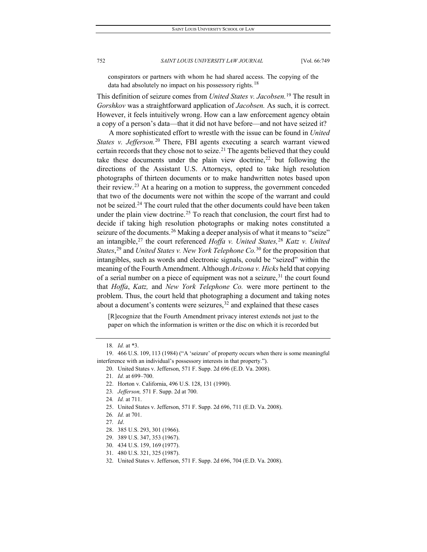conspirators or partners with whom he had shared access. The copying of the data had absolutely no impact on his possessory rights.<sup>[18](#page-4-0)</sup>

This definition of seizure comes from *United States v. Jacobsen.*[19](#page-4-1) The result in *Gorshkov* was a straightforward application of *Jacobsen.* As such, it is correct. However, it feels intuitively wrong. How can a law enforcement agency obtain a copy of a person's data—that it did not have before—and not have seized it?

A more sophisticated effort to wrestle with the issue can be found in *United States v. Jefferson.*[20](#page-4-2) There, FBI agents executing a search warrant viewed certain records that they chose not to seize.<sup>[21](#page-4-3)</sup> The agents believed that they could take these documents under the plain view doctrine,<sup>[22](#page-4-4)</sup> but following the directions of the Assistant U.S. Attorneys, opted to take high resolution photographs of thirteen documents or to make handwritten notes based upon their review.[23](#page-4-5) At a hearing on a motion to suppress, the government conceded that two of the documents were not within the scope of the warrant and could not be seized.<sup>[24](#page-4-6)</sup> The court ruled that the other documents could have been taken under the plain view doctrine.<sup>[25](#page-4-7)</sup> To reach that conclusion, the court first had to decide if taking high resolution photographs or making notes constituted a seizure of the documents.<sup>[26](#page-4-8)</sup> Making a deeper analysis of what it means to "seize" an intangible,[27](#page-4-9) the court referenced *Hoffa v. United States,*[28](#page-4-10) *Katz v. United States*, [29](#page-4-11) and *United States v. New York Telephone Co.*[30](#page-4-12) for the proposition that intangibles, such as words and electronic signals, could be "seized" within the meaning of the Fourth Amendment. Although *Arizona v. Hicks* held that copying of a serial number on a piece of equipment was not a seizure,<sup>[31](#page-4-13)</sup> the court found that *Hoffa*, *Katz,* and *New York Telephone Co.* were more pertinent to the problem. Thus, the court held that photographing a document and taking notes about a document's contents were seizures, $32$  and explained that these cases

[R]ecognize that the Fourth Amendment privacy interest extends not just to the paper on which the information is written or the disc on which it is recorded but

<span id="page-4-12"></span>30. 434 U.S. 159, 169 (1977).

<span id="page-4-14"></span>32. United States v. Jefferson, 571 F. Supp. 2d 696, 704 (E.D. Va. 2008).

<sup>18</sup>*. Id.* at \*3.

<span id="page-4-5"></span><span id="page-4-4"></span><span id="page-4-3"></span><span id="page-4-2"></span><span id="page-4-1"></span><span id="page-4-0"></span><sup>19.</sup> 466 U.S. 109, 113 (1984) ("A 'seizure' of property occurs when there is some meaningful interference with an individual's possessory interests in that property.").

<sup>20.</sup> United States v. Jefferson, 571 F. Supp. 2d 696 (E.D. Va. 2008).

<sup>21</sup>*. Id.* at 699–700.

<sup>22.</sup> Horton v. California, 496 U.S. 128, 131 (1990).

<sup>23</sup>*. Jefferson,* 571 F. Supp. 2d at 700.

<sup>24</sup>*. Id.* at 711.

<span id="page-4-7"></span><span id="page-4-6"></span><sup>25.</sup> United States v. Jefferson, 571 F. Supp. 2d 696, 711 (E.D. Va. 2008).

<span id="page-4-8"></span><sup>26</sup>*. Id.* at 701.

<span id="page-4-10"></span><span id="page-4-9"></span><sup>27</sup>*. Id*.

<sup>28.</sup> 385 U.S. 293, 301 (1966).

<span id="page-4-11"></span><sup>29.</sup> 389 U.S. 347, 353 (1967).

<span id="page-4-13"></span><sup>31.</sup> 480 U.S. 321, 325 (1987).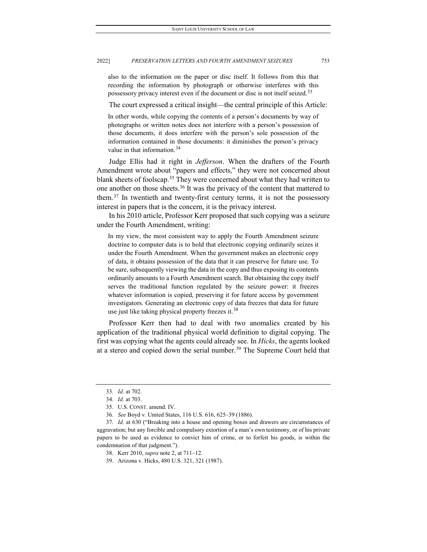also to the information on the paper or disc itself. It follows from this that recording the information by photograph or otherwise interferes with this possessory privacy interest even if the document or disc is not itself seized.<sup>[33](#page-5-0)</sup>

The court expressed a critical insight—the central principle of this Article:

In other words, while copying the contents of a person's documents by way of photographs or written notes does not interfere with a person's possession of those documents, it does interfere with the person's sole possession of the information contained in those documents: it diminishes the person's privacy value in that information.<sup>[34](#page-5-1)</sup>

Judge Ellis had it right in *Jefferson*. When the drafters of the Fourth Amendment wrote about "papers and effects," they were not concerned about blank sheets of foolscap.<sup>[35](#page-5-2)</sup> They were concerned about what they had written to one another on those sheets.<sup>[36](#page-5-3)</sup> It was the privacy of the content that mattered to them.[37](#page-5-4) In twentieth and twenty-first century terms, it is not the possessory interest in papers that is the concern, it is the privacy interest.

In his 2010 article, Professor Kerr proposed that such copying was a seizure under the Fourth Amendment, writing:

In my view, the most consistent way to apply the Fourth Amendment seizure doctrine to computer data is to hold that electronic copying ordinarily seizes it under the Fourth Amendment. When the government makes an electronic copy of data, it obtains possession of the data that it can preserve for future use. To be sure, subsequently viewing the data in the copy and thus exposing its contents ordinarily amounts to a Fourth Amendment search. But obtaining the copy itself serves the traditional function regulated by the seizure power: it freezes whatever information is copied, preserving it for future access by government investigators. Generating an electronic copy of data freezes that data for future use just like taking physical property freezes it.<sup>[38](#page-5-5)</sup>

Professor Kerr then had to deal with two anomalies created by his application of the traditional physical world definition to digital copying. The first was copying what the agents could already see. In *Hicks*, the agents looked at a stereo and copied down the serial number.<sup>[39](#page-5-6)</sup> The Supreme Court held that

<sup>33</sup>*. Id*. at 702.

<sup>34</sup>*. Id.* at 703.

<sup>35.</sup> U.S. CONST. amend. IV.

<sup>36</sup>*. See* Boyd v. United States, 116 U.S. 616, 625–39 (1886).

<span id="page-5-6"></span><span id="page-5-5"></span><span id="page-5-4"></span><span id="page-5-3"></span><span id="page-5-2"></span><span id="page-5-1"></span><span id="page-5-0"></span><sup>37</sup>*. Id.* at 630 ("Breaking into a house and opening boxes and drawers are circumstances of aggravation; but any forcible and compulsory extortion of a man's own testimony, or of his private papers to be used as evidence to convict him of crime, or to forfeit his goods, is within the condemnation of that judgment.").

<sup>38.</sup> Kerr 2010, *supra* note 2, at 711–12.

<sup>39.</sup> Arizona v. Hicks, 480 U.S. 321, 321 (1987).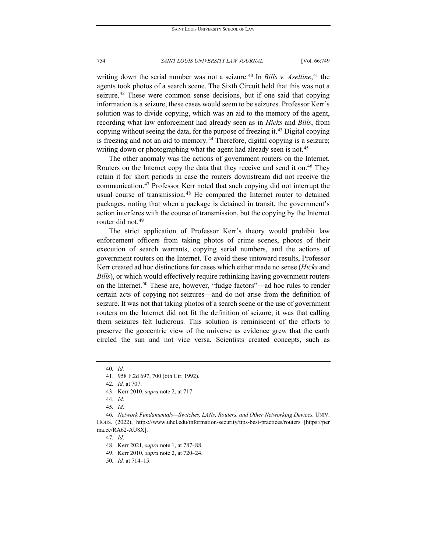writing down the serial number was not a seizure.<sup>[40](#page-6-0)</sup> In *Bills v. Aseltine*,<sup>[41](#page-6-1)</sup> the agents took photos of a search scene. The Sixth Circuit held that this was not a seizure.<sup>[42](#page-6-2)</sup> These were common sense decisions, but if one said that copying information is a seizure, these cases would seem to be seizures. Professor Kerr's solution was to divide copying, which was an aid to the memory of the agent, recording what law enforcement had already seen as in *Hicks* and *Bills*, from copying without seeing the data, for the purpose of freezing it.[43](#page-6-3) Digital copying is freezing and not an aid to memory.<sup>[44](#page-6-4)</sup> Therefore, digital copying is a seizure; writing down or photographing what the agent had already seen is not.<sup>[45](#page-6-5)</sup>

The other anomaly was the actions of government routers on the Internet. Routers on the Internet copy the data that they receive and send it on.<sup>[46](#page-6-6)</sup> They retain it for short periods in case the routers downstream did not receive the communication.[47](#page-6-7) Professor Kerr noted that such copying did not interrupt the usual course of transmission.<sup>[48](#page-6-8)</sup> He compared the Internet router to detained packages, noting that when a package is detained in transit, the government's action interferes with the course of transmission, but the copying by the Internet router did not.<sup>[49](#page-6-9)</sup>

The strict application of Professor Kerr's theory would prohibit law enforcement officers from taking photos of crime scenes, photos of their execution of search warrants, copying serial numbers, and the actions of government routers on the Internet. To avoid these untoward results, Professor Kerr created ad hoc distinctions for cases which either made no sense (*Hicks* and *Bills*), or which would effectively require rethinking having government routers on the Internet.<sup>[50](#page-6-10)</sup> These are, however, "fudge factors"—ad hoc rules to render certain acts of copying not seizures—and do not arise from the definition of seizure. It was not that taking photos of a search scene or the use of government routers on the Internet did not fit the definition of seizure; it was that calling them seizures felt ludicrous. This solution is reminiscent of the efforts to preserve the geocentric view of the universe as evidence grew that the earth circled the sun and not vice versa. Scientists created concepts, such as

<span id="page-6-0"></span><sup>40</sup>*. Id.*

<sup>41.</sup> 958 F.2d 697, 700 (6th Cir. 1992).

<sup>42</sup>*. Id.* at 707.

<sup>43.</sup> Kerr 2010, *supra* note 2, at 717.

<sup>44</sup>*. Id*.

<sup>45</sup>*. Id*.

<span id="page-6-9"></span><span id="page-6-8"></span><span id="page-6-7"></span><span id="page-6-6"></span><span id="page-6-5"></span><span id="page-6-4"></span><span id="page-6-3"></span><span id="page-6-2"></span><span id="page-6-1"></span><sup>46</sup>*. Network Fundamentals—Switches, LANs, Routers, and Other Networking Devices,* UNIV. HOUS. (2022), https://www.uhcl.edu/information-security/tips-best-practices/routers [https://per ma.cc/RA62-AU8X].

<sup>47</sup>*. Id*.

<sup>48.</sup> Kerr 2021*, supra* note 1, at 787–88.

<sup>49.</sup> Kerr 2010, *supra* note 2, at 720–24.

<span id="page-6-10"></span><sup>50</sup>*. Id.* at 714–15.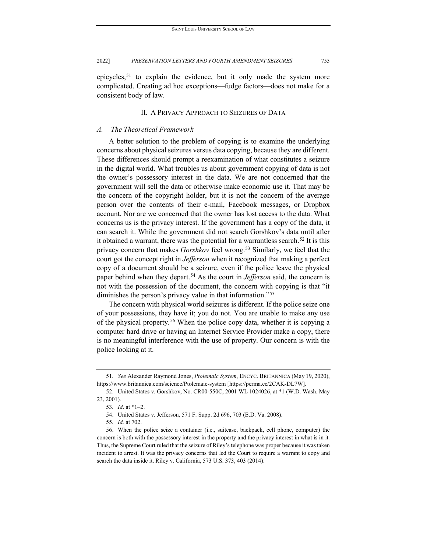epicycles,<sup>[51](#page-7-0)</sup> to explain the evidence, but it only made the system more complicated. Creating ad hoc exceptions—fudge factors—does not make for a consistent body of law.

### II. A PRIVACY APPROACH TO SEIZURES OF DATA

### *A. The Theoretical Framework*

A better solution to the problem of copying is to examine the underlying concerns about physical seizures versus data copying, because they are different. These differences should prompt a reexamination of what constitutes a seizure in the digital world. What troubles us about government copying of data is not the owner's possessory interest in the data. We are not concerned that the government will sell the data or otherwise make economic use it. That may be the concern of the copyright holder, but it is not the concern of the average person over the contents of their e-mail, Facebook messages, or Dropbox account. Nor are we concerned that the owner has lost access to the data. What concerns us is the privacy interest. If the government has a copy of the data, it can search it. While the government did not search Gorshkov's data until after it obtained a warrant, there was the potential for a warrantless search.<sup>[52](#page-7-1)</sup> It is this privacy concern that makes *Gorshkov* feel wrong.[53](#page-7-2) Similarly, we feel that the court got the concept right in *Jefferson* when it recognized that making a perfect copy of a document should be a seizure, even if the police leave the physical paper behind when they depart.<sup>[54](#page-7-3)</sup> As the court in *Jefferson* said, the concern is not with the possession of the document, the concern with copying is that "it diminishes the person's privacy value in that information."<sup>[55](#page-7-4)</sup>

The concern with physical world seizures is different. If the police seize one of your possessions, they have it; you do not. You are unable to make any use of the physical property.[56](#page-7-5) When the police copy data, whether it is copying a computer hard drive or having an Internet Service Provider make a copy, there is no meaningful interference with the use of property. Our concern is with the police looking at it.

<span id="page-7-0"></span><sup>51</sup>*. See* Alexander Raymond Jones, *Ptolemaic System*, ENCYC. BRITANNICA (May 19, 2020), https://www.britannica.com/science/Ptolemaic-system [https://perma.cc/2CAK-DL7W].

<span id="page-7-2"></span><span id="page-7-1"></span><sup>52.</sup> United States v. Gorshkov, No. CR00-550C, 2001 WL 1024026, at \*1 (W.D. Wash. May 23, 2001).

<sup>53</sup>*. Id*. at \*1–2.

<sup>54.</sup> United States v. Jefferson, 571 F. Supp. 2d 696, 703 (E.D. Va. 2008).

<sup>55</sup>*. Id.* at 702.

<span id="page-7-5"></span><span id="page-7-4"></span><span id="page-7-3"></span><sup>56.</sup> When the police seize a container (i.e., suitcase, backpack, cell phone, computer) the concern is both with the possessory interest in the property and the privacy interest in what is in it. Thus, the Supreme Court ruled that the seizure of Riley's telephone was proper because it was taken incident to arrest. It was the privacy concerns that led the Court to require a warrant to copy and search the data inside it. Riley v. California, 573 U.S. 373, 403 (2014).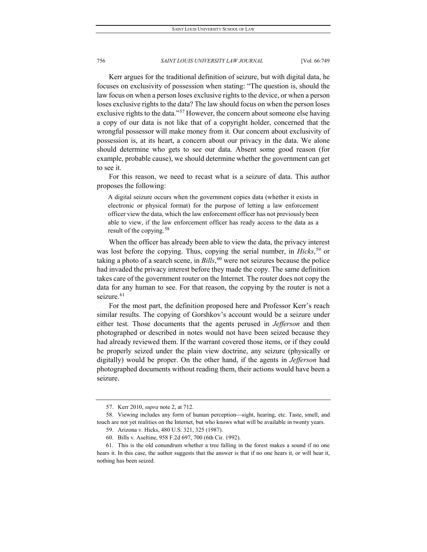Kerr argues for the traditional definition of seizure, but with digital data, he focuses on exclusivity of possession when stating: "The question is, should the law focus on when a person loses exclusive rights to the device, or when a person loses exclusive rights to the data? The law should focus on when the person loses exclusive rights to the data."<sup>[57](#page-8-0)</sup> However, the concern about someone else having a copy of our data is not like that of a copyright holder, concerned that the wrongful possessor will make money from it. Our concern about exclusivity of possession is, at its heart, a concern about our privacy in the data. We alone should determine who gets to see our data. Absent some good reason (for example, probable cause), we should determine whether the government can get to see it.

For this reason, we need to recast what is a seizure of data. This author proposes the following:

A digital seizure occurs when the government copies data (whether it exists in electronic or physical format) for the purpose of letting a law enforcement officer view the data, which the law enforcement officer has not previously been able to view, if the law enforcement officer has ready access to the data as a result of the copying.[58](#page-8-1)

When the officer has already been able to view the data, the privacy interest was lost before the copying. Thus, copying the serial number, in *Hicks*, [59](#page-8-2) or taking a photo of a search scene, in *Bills*, [60](#page-8-3) were not seizures because the police had invaded the privacy interest before they made the copy. The same definition takes care of the government router on the Internet. The router does not copy the data for any human to see. For that reason, the copying by the router is not a seizure.<sup>[61](#page-8-4)</sup>

For the most part, the definition proposed here and Professor Kerr's reach similar results. The copying of Gorshkov's account would be a seizure under either test. Those documents that the agents perused in *Jefferson* and then photographed or described in notes would not have been seized because they had already reviewed them. If the warrant covered those items, or if they could be properly seized under the plain view doctrine, any seizure (physically or digitally) would be proper. On the other hand, if the agents in *Jefferson* had photographed documents without reading them, their actions would have been a seizure.

<sup>57.</sup> Kerr 2010, *supra* note 2, at 712.

<span id="page-8-2"></span><span id="page-8-1"></span><span id="page-8-0"></span><sup>58.</sup> Viewing includes any form of human perception—sight, hearing, etc. Taste, smell, and touch are not yet realities on the Internet, but who knows what will be available in twenty years.

<sup>59.</sup> Arizona v. Hicks, 480 U.S. 321, 325 (1987).

<sup>60.</sup> Bills v. Aseltine, 958 F.2d 697, 700 (6th Cir. 1992).

<span id="page-8-4"></span><span id="page-8-3"></span><sup>61.</sup> This is the old conundrum whether a tree falling in the forest makes a sound if no one hears it. In this case, the author suggests that the answer is that if no one hears it, or will hear it, nothing has been seized.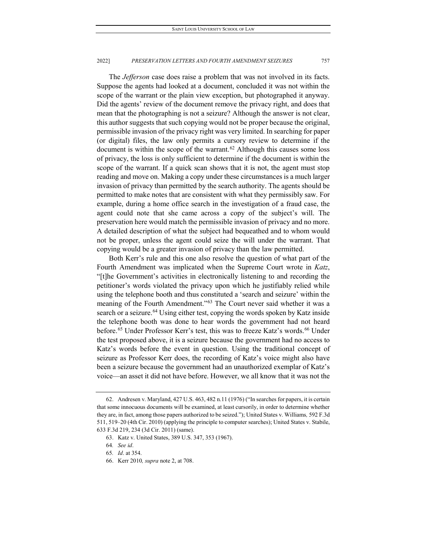The *Jefferson* case does raise a problem that was not involved in its facts. Suppose the agents had looked at a document, concluded it was not within the scope of the warrant or the plain view exception, but photographed it anyway. Did the agents' review of the document remove the privacy right, and does that mean that the photographing is not a seizure? Although the answer is not clear, this author suggests that such copying would not be proper because the original, permissible invasion of the privacy right was very limited. In searching for paper (or digital) files, the law only permits a cursory review to determine if the document is within the scope of the warrant.<sup>[62](#page-9-0)</sup> Although this causes some loss of privacy, the loss is only sufficient to determine if the document is within the scope of the warrant. If a quick scan shows that it is not, the agent must stop reading and move on. Making a copy under these circumstances is a much larger invasion of privacy than permitted by the search authority. The agents should be permitted to make notes that are consistent with what they permissibly saw. For example, during a home office search in the investigation of a fraud case, the agent could note that she came across a copy of the subject's will. The preservation here would match the permissible invasion of privacy and no more. A detailed description of what the subject had bequeathed and to whom would not be proper, unless the agent could seize the will under the warrant. That copying would be a greater invasion of privacy than the law permitted.

Both Kerr's rule and this one also resolve the question of what part of the Fourth Amendment was implicated when the Supreme Court wrote in *Katz*, "[t]he Government's activities in electronically listening to and recording the petitioner's words violated the privacy upon which he justifiably relied while using the telephone booth and thus constituted a 'search and seizure' within the meaning of the Fourth Amendment."[63](#page-9-1) The Court never said whether it was a search or a seizure.<sup>[64](#page-9-2)</sup> Using either test, copying the words spoken by Katz inside the telephone booth was done to hear words the government had not heard before.<sup>[65](#page-9-3)</sup> Under Professor Kerr's test, this was to freeze Katz's words.<sup>[66](#page-9-4)</sup> Under the test proposed above, it is a seizure because the government had no access to Katz's words before the event in question. Using the traditional concept of seizure as Professor Kerr does, the recording of Katz's voice might also have been a seizure because the government had an unauthorized exemplar of Katz's voice—an asset it did not have before. However, we all know that it was not the

<span id="page-9-1"></span><span id="page-9-0"></span><sup>62.</sup> Andresen v. Maryland, 427 U.S. 463, 482 n.11 (1976) ("In searches for papers, it is certain that some innocuous documents will be examined, at least cursorily, in order to determine whether they are, in fact, among those papers authorized to be seized."); United States v. Williams*,* 592 F.3d 511, 519–20 (4th Cir. 2010) (applying the principle to computer searches); United States v. Stabile, 633 F.3d 219, 234 (3d Cir. 2011) (same).

<sup>63.</sup> Katz v. United States, 389 U.S. 347, 353 (1967).

<span id="page-9-2"></span><sup>64</sup>*. See id*.

<span id="page-9-4"></span><span id="page-9-3"></span><sup>65</sup>*. Id*. at 354.

<sup>66.</sup> Kerr 2010*, supra* note 2, at 708.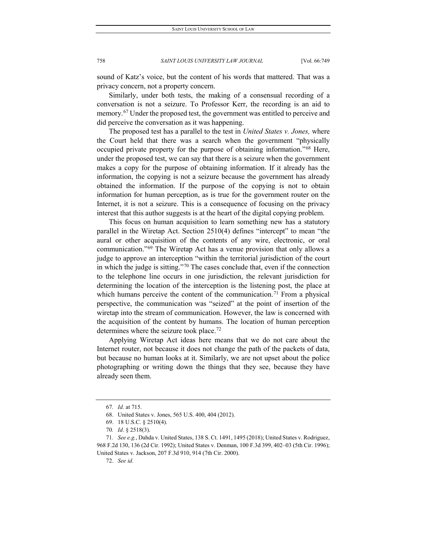sound of Katz's voice, but the content of his words that mattered. That was a privacy concern, not a property concern.

Similarly, under both tests, the making of a consensual recording of a conversation is not a seizure. To Professor Kerr, the recording is an aid to memory.<sup>[67](#page-10-0)</sup> Under the proposed test, the government was entitled to perceive and did perceive the conversation as it was happening.

The proposed test has a parallel to the test in *United States v. Jones,* where the Court held that there was a search when the government "physically occupied private property for the purpose of obtaining information."[68](#page-10-1) Here, under the proposed test, we can say that there is a seizure when the government makes a copy for the purpose of obtaining information. If it already has the information, the copying is not a seizure because the government has already obtained the information. If the purpose of the copying is not to obtain information for human perception, as is true for the government router on the Internet, it is not a seizure. This is a consequence of focusing on the privacy interest that this author suggests is at the heart of the digital copying problem.

This focus on human acquisition to learn something new has a statutory parallel in the Wiretap Act. Section 2510(4) defines "intercept" to mean "the aural or other acquisition of the contents of any wire, electronic, or oral communication."[69](#page-10-2) The Wiretap Act has a venue provision that only allows a judge to approve an interception "within the territorial jurisdiction of the court in which the judge is sitting."[70](#page-10-3) The cases conclude that, even if the connection to the telephone line occurs in one jurisdiction, the relevant jurisdiction for determining the location of the interception is the listening post, the place at which humans perceive the content of the communication.<sup>[71](#page-10-4)</sup> From a physical perspective, the communication was "seized" at the point of insertion of the wiretap into the stream of communication. However, the law is concerned with the acquisition of the content by humans. The location of human perception determines where the seizure took place.<sup>[72](#page-10-5)</sup>

Applying Wiretap Act ideas here means that we do not care about the Internet router, not because it does not change the path of the packets of data, but because no human looks at it. Similarly, we are not upset about the police photographing or writing down the things that they see, because they have already seen them.

<sup>67</sup>*. Id.* at 715.

<sup>68.</sup> United States v. Jones, 565 U.S. 400, 404 (2012).

<sup>69.</sup> 18 U.S.C. § 2510(4).

<sup>70</sup>*. Id*. § 2518(3).

<span id="page-10-5"></span><span id="page-10-4"></span><span id="page-10-3"></span><span id="page-10-2"></span><span id="page-10-1"></span><span id="page-10-0"></span><sup>71</sup>*. See e.g.*, Dahda v. United States, 138 S. Ct. 1491, 1495 (2018); United States v. Rodriguez, 968 F.2d 130, 136 (2d Cir. 1992); United States v. Denman, 100 F.3d 399, 402–03 (5th Cir. 1996); United States v. Jackson, 207 F.3d 910, 914 (7th Cir. 2000).

<sup>72.</sup> *See id.*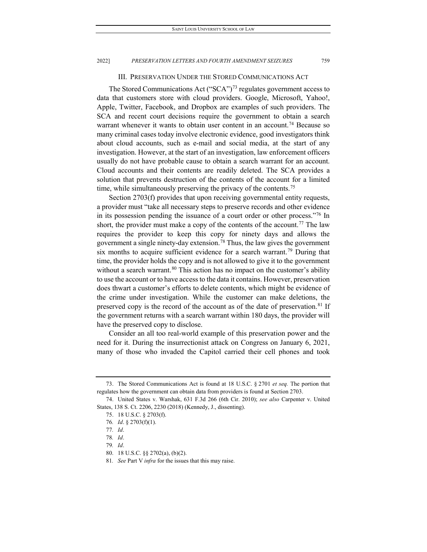### III. PRESERVATION UNDER THE STORED COMMUNICATIONS ACT

The Stored Communications Act ("SCA"[\)73](#page-11-0) regulates government access to data that customers store with cloud providers. Google, Microsoft, Yahoo!, Apple, Twitter, Facebook, and Dropbox are examples of such providers. The SCA and recent court decisions require the government to obtain a search warrant whenever it wants to obtain user content in an account.<sup>74</sup> Because so many criminal cases today involve electronic evidence, good investigators think about cloud accounts, such as e-mail and social media, at the start of any investigation. However, at the start of an investigation, law enforcement officers usually do not have probable cause to obtain a search warrant for an account. Cloud accounts and their contents are readily deleted. The SCA provides a solution that prevents destruction of the contents of the account for a limited time, while simultaneously preserving the privacy of the contents.<sup>[75](#page-11-2)</sup>

Section 2703(f) provides that upon receiving governmental entity requests, a provider must "take all necessary steps to preserve records and other evidence in its possession pending the issuance of a court order or other process."[76](#page-11-3) In short, the provider must make a copy of the contents of the account.<sup>[77](#page-11-4)</sup> The law requires the provider to keep this copy for ninety days and allows the government a single ninety-day extension.<sup>[78](#page-11-5)</sup> Thus, the law gives the government six months to acquire sufficient evidence for a search warrant.<sup>[79](#page-11-6)</sup> During that time, the provider holds the copy and is not allowed to give it to the government without a search warrant.<sup>[80](#page-11-7)</sup> This action has no impact on the customer's ability to use the account or to have access to the data it contains. However, preservation does thwart a customer's efforts to delete contents, which might be evidence of the crime under investigation. While the customer can make deletions, the preserved copy is the record of the account as of the date of preservation.<sup>[81](#page-11-8)</sup> If the government returns with a search warrant within 180 days, the provider will have the preserved copy to disclose.

Consider an all too real-world example of this preservation power and the need for it. During the insurrectionist attack on Congress on January 6, 2021, many of those who invaded the Capitol carried their cell phones and took

<span id="page-11-0"></span><sup>73.</sup> The Stored Communications Act is found at 18 U.S.C. § 2701 *et seq.* The portion that regulates how the government can obtain data from providers is found at Section 2703.

<span id="page-11-5"></span><span id="page-11-4"></span><span id="page-11-3"></span><span id="page-11-2"></span><span id="page-11-1"></span><sup>74.</sup> United States v. Warshak, 631 F.3d 266 (6th Cir. 2010); *see also* Carpenter v. United States, 138 S. Ct. 2206, 2230 (2018) (Kennedy, J., dissenting).

<sup>75.</sup> 18 U.S.C. § 2703(f).

<sup>76</sup>*. Id*. § 2703(f)(1).

<sup>77</sup>*. Id*.

<sup>78</sup>*. Id*.

<sup>79</sup>*. Id*.

<span id="page-11-7"></span><span id="page-11-6"></span><sup>80.</sup> 18 U.S.C. §§ 2702(a), (b)(2).

<span id="page-11-8"></span><sup>81</sup>*. See* Part V *infra* for the issues that this may raise.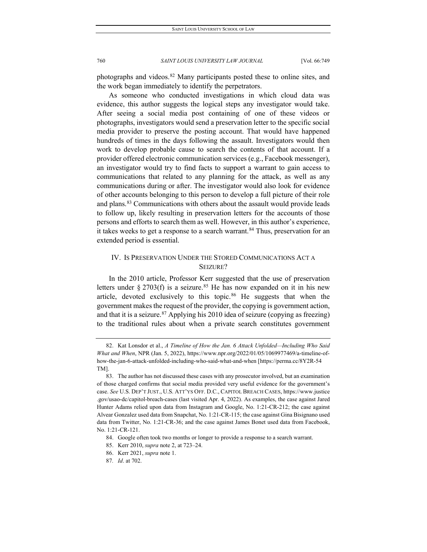photographs and videos.[82](#page-12-0) Many participants posted these to online sites, and the work began immediately to identify the perpetrators.

As someone who conducted investigations in which cloud data was evidence, this author suggests the logical steps any investigator would take. After seeing a social media post containing of one of these videos or photographs, investigators would send a preservation letter to the specific social media provider to preserve the posting account. That would have happened hundreds of times in the days following the assault. Investigators would then work to develop probable cause to search the contents of that account. If a provider offered electronic communication services (e.g., Facebook messenger), an investigator would try to find facts to support a warrant to gain access to communications that related to any planning for the attack, as well as any communications during or after. The investigator would also look for evidence of other accounts belonging to this person to develop a full picture of their role and plans.<sup>[83](#page-12-1)</sup> Communications with others about the assault would provide leads to follow up, likely resulting in preservation letters for the accounts of those persons and efforts to search them as well. However, in this author's experience, it takes weeks to get a response to a search warrant.<sup>[84](#page-12-2)</sup> Thus, preservation for an extended period is essential.

### IV. IS PRESERVATION UNDER THE STORED COMMUNICATIONS ACT A SEIZURE?

In the 2010 article, Professor Kerr suggested that the use of preservation letters under § 2703(f) is a seizure.<sup>[85](#page-12-3)</sup> He has now expanded on it in his new article, devoted exclusively to this topic. $86$  He suggests that when the government makes the request of the provider, the copying is government action, and that it is a seizure.<sup>[87](#page-12-5)</sup> Applying his 2010 idea of seizure (copying as freezing) to the traditional rules about when a private search constitutes government

<span id="page-12-0"></span><sup>82.</sup> Kat Lonsdor et al., *A Timeline of How the Jan. 6 Attack Unfolded—Including Who Said What and When*, NPR (Jan. 5, 2022), https://www.npr.org/2022/01/05/1069977469/a-timeline-ofhow-the-jan-6-attack-unfolded-including-who-said-what-and-when [https://perma.cc/8Y2R-54 TM].

<span id="page-12-1"></span><sup>83.</sup> The author has not discussed these cases with any prosecutor involved, but an examination of those charged confirms that social media provided very useful evidence for the government's case. *See* U.S. DEP'T JUST., U.S. ATT'YS OFF. D.C., CAPITOL BREACH CASES, https://www.justice .gov/usao-dc/capitol-breach-cases (last visited Apr. 4, 2022). As examples, the case against Jared Hunter Adams relied upon data from Instagram and Google, No. 1:21-CR-212; the case against Alvear Gonzalez used data from Snapchat, No. 1:21-CR-115; the case against Gina Bisignano used data from Twitter, No. 1:21-CR-36; and the case against James Bonet used data from Facebook, No. 1:21-CR-121.

<span id="page-12-2"></span><sup>84.</sup> Google often took two months or longer to provide a response to a search warrant.

<span id="page-12-3"></span><sup>85.</sup> Kerr 2010, *supra* note 2, at 723–24.

<sup>86.</sup> Kerr 2021, *supra* note 1.

<span id="page-12-5"></span><span id="page-12-4"></span><sup>87</sup>*. Id*. at 702.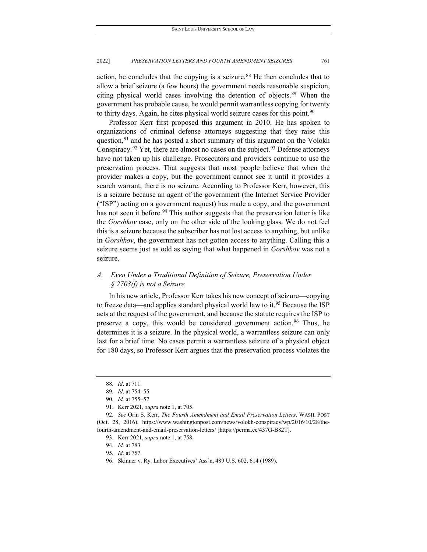action, he concludes that the copying is a seizure.<sup>[88](#page-13-0)</sup> He then concludes that to allow a brief seizure (a few hours) the government needs reasonable suspicion, citing physical world cases involving the detention of objects.<sup>[89](#page-13-1)</sup> When the government has probable cause, he would permit warrantless copying for twenty to thirty days. Again, he cites physical world seizure cases for this point.<sup>[90](#page-13-2)</sup>

Professor Kerr first proposed this argument in 2010. He has spoken to organizations of criminal defense attorneys suggesting that they raise this question,  $91$  and he has posted a short summary of this argument on the Volokh Conspiracy.<sup>[92](#page-13-4)</sup> Yet, there are almost no cases on the subject.<sup>[93](#page-13-5)</sup> Defense attorneys have not taken up his challenge. Prosecutors and providers continue to use the preservation process. That suggests that most people believe that when the provider makes a copy, but the government cannot see it until it provides a search warrant, there is no seizure. According to Professor Kerr, however, this is a seizure because an agent of the government (the Internet Service Provider ("ISP") acting on a government request) has made a copy, and the government has not seen it before.<sup>[94](#page-13-6)</sup> This author suggests that the preservation letter is like the *Gorshkov* case, only on the other side of the looking glass. We do not feel this is a seizure because the subscriber has not lost access to anything, but unlike in *Gorshkov*, the government has not gotten access to anything. Calling this a seizure seems just as odd as saying that what happened in *Gorshkov* was not a seizure.

### *A. Even Under a Traditional Definition of Seizure, Preservation Under § 2703(f) is not a Seizure*

In his new article, Professor Kerr takes his new concept of seizure—copying to freeze data—and applies standard physical world law to it.<sup>[95](#page-13-7)</sup> Because the ISP acts at the request of the government, and because the statute requires the ISP to preserve a copy, this would be considered government action.<sup>96</sup> Thus, he determines it is a seizure. In the physical world, a warrantless seizure can only last for a brief time. No cases permit a warrantless seizure of a physical object for 180 days, so Professor Kerr argues that the preservation process violates the

<sup>88</sup>*. Id*. at 711.

<sup>89</sup>*. Id*. at 754–55.

<sup>90</sup>*. Id.* at 755–57.

<sup>91.</sup> Kerr 2021, *supra* note 1, at 705.

<span id="page-13-7"></span><span id="page-13-6"></span><span id="page-13-5"></span><span id="page-13-4"></span><span id="page-13-3"></span><span id="page-13-2"></span><span id="page-13-1"></span><span id="page-13-0"></span><sup>92</sup>*. See* Orin S. Kerr, *The Fourth Amendment and Email Preservation Letters*, WASH. POST (Oct. 28, 2016), https://www.washingtonpost.com/news/volokh-conspiracy/wp/2016/10/28/thefourth-amendment-and-email-preservation-letters/ [https://perma.cc/437G-B82T].

<sup>93.</sup> Kerr 2021, *supra* note 1, at 758.

<sup>94</sup>*. Id.* at 783.

<sup>95</sup>*. Id.* at 757.

<span id="page-13-8"></span><sup>96.</sup> Skinner v. Ry. Labor Executives' Ass'n, 489 U.S. 602, 614 (1989).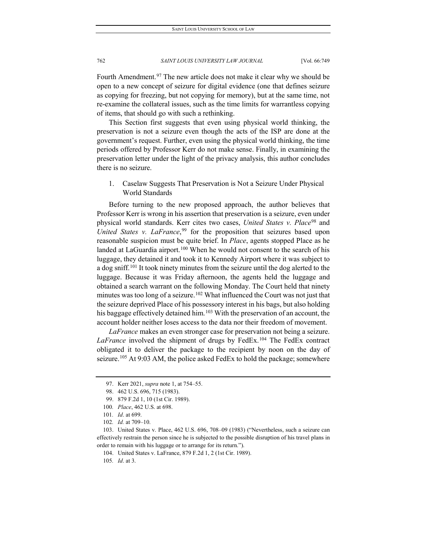Fourth Amendment.<sup>[97](#page-14-0)</sup> The new article does not make it clear why we should be open to a new concept of seizure for digital evidence (one that defines seizure as copying for freezing, but not copying for memory), but at the same time, not re-examine the collateral issues, such as the time limits for warrantless copying of items, that should go with such a rethinking.

This Section first suggests that even using physical world thinking, the preservation is not a seizure even though the acts of the ISP are done at the government's request. Further, even using the physical world thinking, the time periods offered by Professor Kerr do not make sense. Finally, in examining the preservation letter under the light of the privacy analysis, this author concludes there is no seizure.

1. Caselaw Suggests That Preservation is Not a Seizure Under Physical World Standards

Before turning to the new proposed approach, the author believes that Professor Kerr is wrong in his assertion that preservation is a seizure, even under physical world standards. Kerr cites two cases, *United States v. Place*[98](#page-14-1) and *United States v. LaFrance*, [99](#page-14-2) for the proposition that seizures based upon reasonable suspicion must be quite brief. In *Place*, agents stopped Place as he landed at LaGuardia airport.<sup>[100](#page-14-3)</sup> When he would not consent to the search of his luggage, they detained it and took it to Kennedy Airport where it was subject to a dog sniff.<sup>101</sup> It took ninety minutes from the seizure until the dog alerted to the luggage. Because it was Friday afternoon, the agents held the luggage and obtained a search warrant on the following Monday. The Court held that ninety minutes was too long of a seizure.<sup>[102](#page-14-5)</sup> What influenced the Court was not just that the seizure deprived Place of his possessory interest in his bags, but also holding his baggage effectively detained him.<sup>[103](#page-14-6)</sup> With the preservation of an account, the account holder neither loses access to the data nor their freedom of movement.

*LaFrance* makes an even stronger case for preservation not being a seizure. LaFrance involved the shipment of drugs by FedEx.<sup>[104](#page-14-7)</sup> The FedEx contract obligated it to deliver the package to the recipient by noon on the day of seizure.<sup>[105](#page-14-8)</sup> At 9:03 AM, the police asked FedEx to hold the package; somewhere

<span id="page-14-0"></span><sup>97.</sup> Kerr 2021, *supra* note 1, at 754–55.

<sup>98.</sup> 462 U.S. 696, 715 (1983).

<sup>99.</sup> 879 F.2d 1, 10 (1st Cir. 1989).

<sup>100</sup>*. Place*, 462 U.S. at 698.

<sup>101</sup>*. Id*. at 699.

<sup>102</sup>*. Id.* at 709–10.

<span id="page-14-8"></span><span id="page-14-7"></span><span id="page-14-6"></span><span id="page-14-5"></span><span id="page-14-4"></span><span id="page-14-3"></span><span id="page-14-2"></span><span id="page-14-1"></span><sup>103.</sup> United States v. Place, 462 U.S. 696, 708–09 (1983) ("Nevertheless, such a seizure can effectively restrain the person since he is subjected to the possible disruption of his travel plans in order to remain with his luggage or to arrange for its return.").

<sup>104.</sup> United States v. LaFrance, 879 F.2d 1, 2 (1st Cir. 1989).

<sup>105</sup>*. Id*. at 3.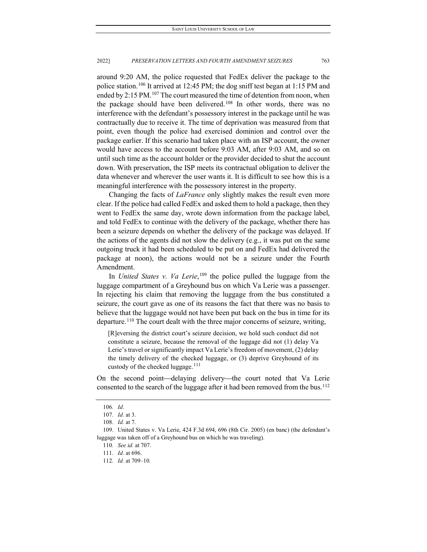around 9:20 AM, the police requested that FedEx deliver the package to the police station.[106](#page-15-0) It arrived at 12:45 PM; the dog sniff test began at 1:15 PM and ended by 2:15 PM.<sup>[107](#page-15-1)</sup> The court measured the time of detention from noon, when the package should have been delivered.<sup>[108](#page-15-2)</sup> In other words, there was no interference with the defendant's possessory interest in the package until he was contractually due to receive it. The time of deprivation was measured from that point, even though the police had exercised dominion and control over the package earlier. If this scenario had taken place with an ISP account, the owner would have access to the account before 9:03 AM, after 9:03 AM, and so on until such time as the account holder or the provider decided to shut the account down. With preservation, the ISP meets its contractual obligation to deliver the data whenever and wherever the user wants it. It is difficult to see how this is a meaningful interference with the possessory interest in the property.

Changing the facts of *LaFrance* only slightly makes the result even more clear. If the police had called FedEx and asked them to hold a package, then they went to FedEx the same day, wrote down information from the package label, and told FedEx to continue with the delivery of the package, whether there has been a seizure depends on whether the delivery of the package was delayed. If the actions of the agents did not slow the delivery (e.g., it was put on the same outgoing truck it had been scheduled to be put on and FedEx had delivered the package at noon), the actions would not be a seizure under the Fourth Amendment.

In *United States v. Va Lerie*, [109](#page-15-3) the police pulled the luggage from the luggage compartment of a Greyhound bus on which Va Lerie was a passenger. In rejecting his claim that removing the luggage from the bus constituted a seizure, the court gave as one of its reasons the fact that there was no basis to believe that the luggage would not have been put back on the bus in time for its departure.<sup>[110](#page-15-4)</sup> The court dealt with the three major concerns of seizure, writing,

[R]eversing the district court's seizure decision, we hold such conduct did not constitute a seizure, because the removal of the luggage did not (1) delay Va Lerie's travel or significantly impact Va Lerie's freedom of movement, (2) delay the timely delivery of the checked luggage, or (3) deprive Greyhound of its custody of the checked luggage.<sup>[111](#page-15-5)</sup>

On the second point—delaying delivery—the court noted that Va Lerie consented to the search of the luggage after it had been removed from the bus.<sup>112</sup>

<sup>106</sup>*. Id*.

<sup>107</sup>*. Id.* at 3.

<sup>108</sup>*. Id.* at 7.

<span id="page-15-6"></span><span id="page-15-5"></span><span id="page-15-4"></span><span id="page-15-3"></span><span id="page-15-2"></span><span id="page-15-1"></span><span id="page-15-0"></span><sup>109.</sup> United States v. Va Lerie, 424 F.3d 694, 696 (8th Cir. 2005) (en banc) (the defendant's luggage was taken off of a Greyhound bus on which he was traveling).

<sup>110</sup>*. See id.* at 707.

<sup>111</sup>*. Id.* at 696.

<sup>112</sup>*. Id.* at 709–10.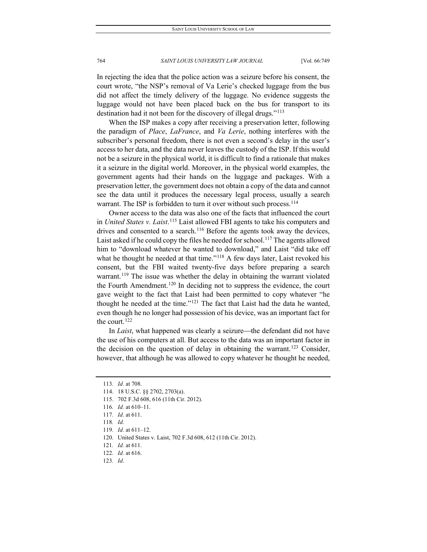In rejecting the idea that the police action was a seizure before his consent, the court wrote, "the NSP's removal of Va Lerie's checked luggage from the bus did not affect the timely delivery of the luggage. No evidence suggests the luggage would not have been placed back on the bus for transport to its destination had it not been for the discovery of illegal drugs."<sup>[113](#page-16-0)</sup>

When the ISP makes a copy after receiving a preservation letter, following the paradigm of *Place*, *LaFrance*, and *Va Lerie*, nothing interferes with the subscriber's personal freedom, there is not even a second's delay in the user's access to her data, and the data never leaves the custody of the ISP. If this would not be a seizure in the physical world, it is difficult to find a rationale that makes it a seizure in the digital world. Moreover, in the physical world examples, the government agents had their hands on the luggage and packages. With a preservation letter, the government does not obtain a copy of the data and cannot see the data until it produces the necessary legal process, usually a search warrant. The ISP is forbidden to turn it over without such process.<sup>114</sup>

Owner access to the data was also one of the facts that influenced the court in *United States v. Laist*. [115](#page-16-2) Laist allowed FBI agents to take his computers and drives and consented to a search.<sup>[116](#page-16-3)</sup> Before the agents took away the devices, Laist asked if he could copy the files he needed for school.<sup>[117](#page-16-4)</sup> The agents allowed him to "download whatever he wanted to download," and Laist "did take off what he thought he needed at that time."<sup>[118](#page-16-5)</sup> A few days later, Laist revoked his consent, but the FBI waited twenty-five days before preparing a search warrant.<sup>[119](#page-16-6)</sup> The issue was whether the delay in obtaining the warrant violated the Fourth Amendment.<sup>[120](#page-16-7)</sup> In deciding not to suppress the evidence, the court gave weight to the fact that Laist had been permitted to copy whatever "he thought he needed at the time." $121$  The fact that Laist had the data he wanted, even though he no longer had possession of his device, was an important fact for the court.<sup>[122](#page-16-9)</sup>

In *Laist*, what happened was clearly a seizure—the defendant did not have the use of his computers at all. But access to the data was an important factor in the decision on the question of delay in obtaining the warrant.<sup>[123](#page-16-10)</sup> Consider, however, that although he was allowed to copy whatever he thought he needed,

<span id="page-16-0"></span><sup>113</sup>*. Id.* at 708.

<span id="page-16-1"></span><sup>114.</sup> 18 U.S.C. §§ 2702, 2703(a).

<span id="page-16-2"></span><sup>115.</sup> 702 F.3d 608, 616 (11th Cir. 2012).

<span id="page-16-3"></span><sup>116</sup>*. Id.* at 610–11.

<span id="page-16-4"></span><sup>117</sup>*. Id*. at 611.

<span id="page-16-5"></span><sup>118</sup>*. Id.*

<span id="page-16-6"></span><sup>119</sup>*. Id.* at 611–12.

<span id="page-16-7"></span><sup>120.</sup> United States v. Laist, 702 F.3d 608, 612 (11th Cir. 2012).

<span id="page-16-8"></span><sup>121</sup>*. Id.* at 611.

<span id="page-16-9"></span><sup>122</sup>*. Id.* at 616.

<span id="page-16-10"></span><sup>123</sup>*. Id*.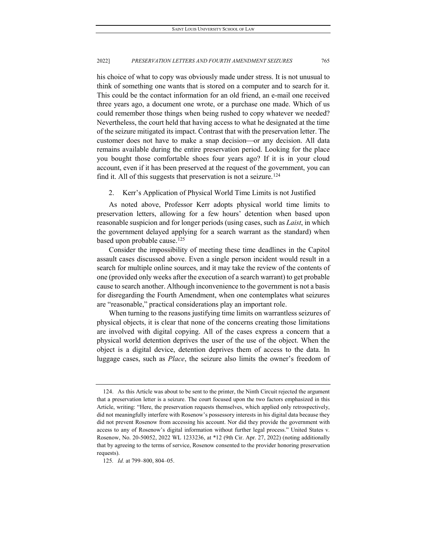his choice of what to copy was obviously made under stress. It is not unusual to think of something one wants that is stored on a computer and to search for it. This could be the contact information for an old friend, an e-mail one received three years ago, a document one wrote, or a purchase one made. Which of us could remember those things when being rushed to copy whatever we needed? Nevertheless, the court held that having access to what he designated at the time of the seizure mitigated its impact. Contrast that with the preservation letter. The customer does not have to make a snap decision—or any decision. All data remains available during the entire preservation period. Looking for the place you bought those comfortable shoes four years ago? If it is in your cloud account, even if it has been preserved at the request of the government, you can find it. All of this suggests that preservation is not a seizure.<sup>[124](#page-17-0)</sup>

2. Kerr's Application of Physical World Time Limits is not Justified

As noted above, Professor Kerr adopts physical world time limits to preservation letters, allowing for a few hours' detention when based upon reasonable suspicion and for longer periods (using cases, such as *Laist*, in which the government delayed applying for a search warrant as the standard) when based upon probable cause.<sup>[125](#page-17-1)</sup>

Consider the impossibility of meeting these time deadlines in the Capitol assault cases discussed above. Even a single person incident would result in a search for multiple online sources, and it may take the review of the contents of one (provided only weeks after the execution of a search warrant) to get probable cause to search another. Although inconvenience to the government is not a basis for disregarding the Fourth Amendment, when one contemplates what seizures are "reasonable," practical considerations play an important role.

When turning to the reasons justifying time limits on warrantless seizures of physical objects, it is clear that none of the concerns creating those limitations are involved with digital copying. All of the cases express a concern that a physical world detention deprives the user of the use of the object. When the object is a digital device, detention deprives them of access to the data. In luggage cases, such as *Place*, the seizure also limits the owner's freedom of

<span id="page-17-0"></span><sup>124.</sup> As this Article was about to be sent to the printer, the Ninth Circuit rejected the argument that a preservation letter is a seizure. The court focused upon the two factors emphasized in this Article, writing: "Here, the preservation requests themselves, which applied only retrospectively, did not meaningfully interfere with Rosenow's possessory interests in his digital data because they did not prevent Rosenow from accessing his account. Nor did they provide the government with access to any of Rosenow's digital information without further legal process." United States v. Rosenow, No. 20-50052, 2022 WL 1233236, at \*12 (9th Cir. Apr. 27, 2022) (noting additionally that by agreeing to the terms of service, Rosenow consented to the provider honoring preservation requests).

<span id="page-17-1"></span><sup>125</sup>*. Id.* at 799–800, 804–05.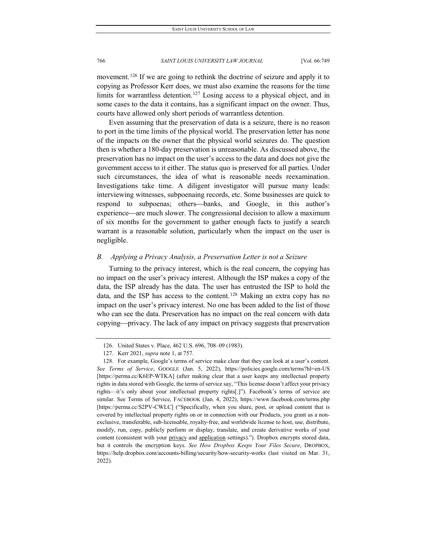movement.<sup>[126](#page-18-0)</sup> If we are going to rethink the doctrine of seizure and apply it to copying as Professor Kerr does, we must also examine the reasons for the time limits for warrantless detention.<sup>[127](#page-18-1)</sup> Losing access to a physical object, and in some cases to the data it contains, has a significant impact on the owner. Thus, courts have allowed only short periods of warrantless detention.

Even assuming that the preservation of data is a seizure, there is no reason to port in the time limits of the physical world. The preservation letter has none of the impacts on the owner that the physical world seizures do. The question then is whether a 180-day preservation is unreasonable. As discussed above, the preservation has no impact on the user's access to the data and does not give the government access to it either. The status quo is preserved for all parties. Under such circumstances, the idea of what is reasonable needs reexamination. Investigations take time. A diligent investigator will pursue many leads: interviewing witnesses, subpoenaing records, etc. Some businesses are quick to respond to subpoenas; others—banks, and Google, in this author's experience—are much slower. The congressional decision to allow a maximum of six months for the government to gather enough facts to justify a search warrant is a reasonable solution, particularly when the impact on the user is negligible.

### *B. Applying a Privacy Analysis, a Preservation Letter is not a Seizure*

Turning to the privacy interest, which is the real concern, the copying has no impact on the user's privacy interest. Although the ISP makes a copy of the data, the ISP already has the data. The user has entrusted the ISP to hold the data, and the ISP has access to the content.<sup>[128](#page-18-2)</sup> Making an extra copy has no impact on the user's privacy interest. No one has been added to the list of those who can see the data. Preservation has no impact on the real concern with data copying—privacy. The lack of any impact on privacy suggests that preservation

<sup>126.</sup> United States v. Place, 462 U.S. 696, 708–09 (1983).

<sup>127.</sup> Kerr 2021, *supra* note 1, at 757.

<span id="page-18-2"></span><span id="page-18-1"></span><span id="page-18-0"></span><sup>128.</sup> For example, Google's terms of service make clear that they can look at a user's content. *See Terms of Service*, GOOGLE (Jan. 5, 2022), https://policies.google.com/terms?hl=en-US [https://perma.cc/K6EP-WTKA] (after making clear that a user keeps any intellectual property rights in data stored with Google, the terms of service say, "This license doesn't affect your privacy rights—it's only about your intellectual property rights[.]"). Facebook's terms of service are similar. See Terms of Service, FACEBOOK (Jan. 4, 2022), https://www.facebook.com/terms.php [https://perma.cc/S2PV-CWLC] ("Specifically, when you share, post, or upload content that is covered by intellectual property rights on or in connection with our Products, you grant us a nonexclusive, transferable, sub-licensable, royalty-free, and worldwide license to host, use, distribute, modify, run, copy, publicly perform or display, translate, and create derivative works of your content (consistent with your privacy and application settings)."). Dropbox encrypts stored data, but it controls the encryption keys. *See How Dropbox Keeps Your Files Secure*, DROPBOX, https://help.dropbox.com/accounts-billing/security/how-security-works (last visited on Mar. 31, 2022).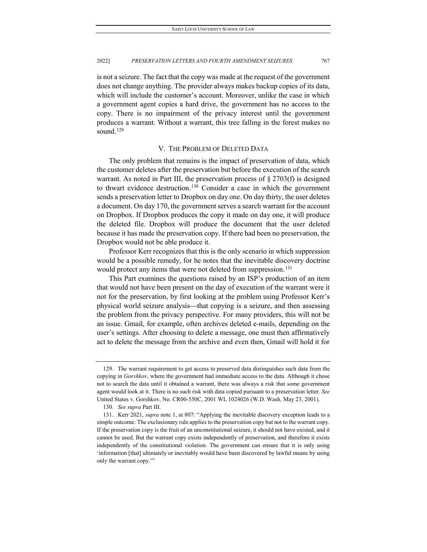is not a seizure. The fact that the copy was made at the request of the government does not change anything. The provider always makes backup copies of its data, which will include the customer's account. Moreover, unlike the case in which a government agent copies a hard drive, the government has no access to the copy. There is no impairment of the privacy interest until the government produces a warrant. Without a warrant, this tree falling in the forest makes no sound.<sup>[129](#page-19-0)</sup>

### V. THE PROBLEM OF DELETED DATA

<span id="page-19-3"></span>The only problem that remains is the impact of preservation of data, which the customer deletes after the preservation but before the execution of the search warrant. As noted in Part III, the preservation process of  $\S 2703(f)$  is designed to thwart evidence destruction.<sup>[130](#page-19-1)</sup> Consider a case in which the government sends a preservation letter to Dropbox on day one. On day thirty, the user deletes a document. On day 170, the government serves a search warrant for the account on Dropbox. If Dropbox produces the copy it made on day one, it will produce the deleted file. Dropbox will produce the document that the user deleted because it has made the preservation copy. If there had been no preservation, the Dropbox would not be able produce it.

Professor Kerr recognizes that this is the only scenario in which suppression would be a possible remedy, for he notes that the inevitable discovery doctrine would protect any items that were not deleted from suppression.<sup>[131](#page-19-2)</sup>

This Part examines the questions raised by an ISP's production of an item that would not have been present on the day of execution of the warrant were it not for the preservation, by first looking at the problem using Professor Kerr's physical world seizure analysis—that copying is a seizure, and then assessing the problem from the privacy perspective. For many providers, this will not be an issue. Gmail, for example, often archives deleted e-mails, depending on the user's settings. After choosing to delete a message, one must then affirmatively act to delete the message from the archive and even then, Gmail will hold it for

<span id="page-19-0"></span><sup>129.</sup> The warrant requirement to get access to preserved data distinguishes such data from the copying in *Gorshkov*, where the government had immediate access to the data. Although it chose not to search the data until it obtained a warrant, there was always a risk that some government agent would look at it. There is no such risk with data copied pursuant to a preservation letter. *See* United States v. Gorshkov, No. CR00-550C, 2001 WL 1024026 (W.D. Wash. May 23, 2001).

<sup>130</sup>*. See supra* Part III.

<span id="page-19-2"></span><span id="page-19-1"></span><sup>131.</sup> Kerr 2021, *supra* note 1, at 807: "Applying the inevitable discovery exception leads to a simple outcome: The exclusionary rule applies to the preservation copy but not to the warrant copy. If the preservation copy is the fruit of an unconstitutional seizure, it should not have existed, and it cannot be used. But the warrant copy exists independently of preservation, and therefore it exists independently of the constitutional violation. The government can ensure that it is only using 'information [that] ultimately or inevitably would have been discovered by lawful means by using only the warrant copy.'"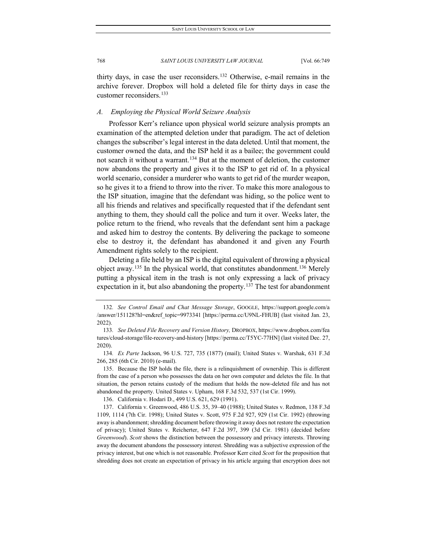thirty days, in case the user reconsiders.[132](#page-20-0) Otherwise, e-mail remains in the archive forever. Dropbox will hold a deleted file for thirty days in case the customer reconsiders.<sup>[133](#page-20-1)</sup>

### *A. Employing the Physical World Seizure Analysis*

Professor Kerr's reliance upon physical world seizure analysis prompts an examination of the attempted deletion under that paradigm. The act of deletion changes the subscriber's legal interest in the data deleted. Until that moment, the customer owned the data, and the ISP held it as a bailee; the government could not search it without a warrant.<sup>[134](#page-20-2)</sup> But at the moment of deletion, the customer now abandons the property and gives it to the ISP to get rid of. In a physical world scenario, consider a murderer who wants to get rid of the murder weapon, so he gives it to a friend to throw into the river. To make this more analogous to the ISP situation, imagine that the defendant was hiding, so the police went to all his friends and relatives and specifically requested that if the defendant sent anything to them, they should call the police and turn it over. Weeks later, the police return to the friend, who reveals that the defendant sent him a package and asked him to destroy the contents. By delivering the package to someone else to destroy it, the defendant has abandoned it and given any Fourth Amendment rights solely to the recipient.

Deleting a file held by an ISP is the digital equivalent of throwing a physical object away.<sup>[135](#page-20-3)</sup> In the physical world, that constitutes abandonment.<sup>[136](#page-20-4)</sup> Merely putting a physical item in the trash is not only expressing a lack of privacy expectation in it, but also abandoning the property.<sup>[137](#page-20-5)</sup> The test for abandonment

136. California v. Hodari D., 499 U.S. 621, 629 (1991).

<span id="page-20-0"></span><sup>132</sup>*. See Control Email and Chat Message Storage*, GOOGLE, https://support.google.com/a /answer/151128?hl=en&ref\_topic=9973341 [https://perma.cc/U9NL-FHUB] (last visited Jan. 23, 2022).

<span id="page-20-1"></span><sup>133</sup>*. See Deleted File Recovery and Version History,* DROPBOX, https://www.dropbox.com/fea tures/cloud-storage/file-recovery-and-history [https://perma.cc/T5YC-77HN] (last visited Dec. 27, 2020).

<span id="page-20-2"></span><sup>134</sup>*. Ex Parte* Jackson, 96 U.S. 727, 735 (1877) (mail); United States v. Warshak, 631 F.3d 266, 285 (6th Cir. 2010) (e-mail).

<span id="page-20-3"></span><sup>135.</sup> Because the ISP holds the file, there is a relinquishment of ownership. This is different from the case of a person who possesses the data on her own computer and deletes the file. In that situation, the person retains custody of the medium that holds the now-deleted file and has not abandoned the property. United States v. Upham, 168 F.3d 532, 537 (1st Cir. 1999).

<span id="page-20-5"></span><span id="page-20-4"></span><sup>137.</sup> California v. Greenwood, 486 U.S. 35, 39–40 (1988); United States v. Redmon, 138 F.3d 1109, 1114 (7th Cir. 1998); United States v. Scott, 975 F.2d 927, 929 (1st Cir. 1992) (throwing away is abandonment; shredding document before throwing it away does not restore the expectation of privacy); United States v. Reicherter, 647 F.2d 397, 399 (3d Cir. 1981) (decided before *Greenwood*). *Scott* shows the distinction between the possessory and privacy interests. Throwing away the document abandons the possessory interest. Shredding was a subjective expression of the privacy interest, but one which is not reasonable. Professor Kerr cited *Scott* for the proposition that shredding does not create an expectation of privacy in his article arguing that encryption does not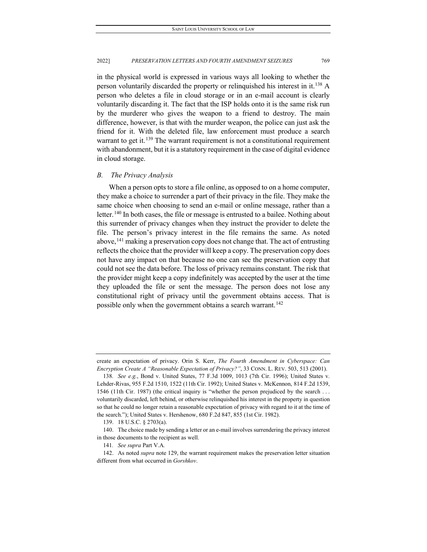in the physical world is expressed in various ways all looking to whether the person voluntarily discarded the property or relinquished his interest in it.<sup>[138](#page-21-0)</sup> A person who deletes a file in cloud storage or in an e-mail account is clearly voluntarily discarding it. The fact that the ISP holds onto it is the same risk run by the murderer who gives the weapon to a friend to destroy. The main difference, however, is that with the murder weapon, the police can just ask the friend for it. With the deleted file, law enforcement must produce a search warrant to get it.<sup>[139](#page-21-1)</sup> The warrant requirement is not a constitutional requirement with abandonment, but it is a statutory requirement in the case of digital evidence in cloud storage.

### *B. The Privacy Analysis*

When a person opts to store a file online, as opposed to on a home computer, they make a choice to surrender a part of their privacy in the file. They make the same choice when choosing to send an e-mail or online message, rather than a letter.<sup>[140](#page-21-2)</sup> In both cases, the file or message is entrusted to a bailee. Nothing about this surrender of privacy changes when they instruct the provider to delete the file. The person's privacy interest in the file remains the same. As noted above,<sup>[141](#page-21-3)</sup> making a preservation copy does not change that. The act of entrusting reflects the choice that the provider will keep a copy. The preservation copy does not have any impact on that because no one can see the preservation copy that could not see the data before. The loss of privacy remains constant. The risk that the provider might keep a copy indefinitely was accepted by the user at the time they uploaded the file or sent the message. The person does not lose any constitutional right of privacy until the government obtains access. That is possible only when the government obtains a search warrant.<sup>[142](#page-21-4)</sup>

create an expectation of privacy. Orin S. Kerr, *The Fourth Amendment in Cyberspace: Can Encryption Create A "Reasonable Expectation of Privacy?"*, 33 CONN. L. REV. 503, 513 (2001).

<span id="page-21-0"></span><sup>138</sup>*. See e.g.*, Bond v. United States, 77 F.3d 1009, 1013 (7th Cir. 1996); United States v. Lehder-Rivas, 955 F.2d 1510, 1522 (11th Cir. 1992); United States v. McKennon, 814 F.2d 1539, 1546 (11th Cir. 1987) (the critical inquiry is "whether the person prejudiced by the search . . . voluntarily discarded, left behind, or otherwise relinquished his interest in the property in question so that he could no longer retain a reasonable expectation of privacy with regard to it at the time of the search."); United States v. Hershenow, 680 F.2d 847, 855 (1st Cir. 1982).

<sup>139.</sup> 18 U.S.C. § 2703(a).

<span id="page-21-2"></span><span id="page-21-1"></span><sup>140.</sup> The choice made by sending a letter or an e-mail involves surrendering the privacy interest in those documents to the recipient as well.

<sup>141</sup>*. See supra* Part V.A*.*

<span id="page-21-4"></span><span id="page-21-3"></span><sup>142.</sup> As noted *supra* note [129,](#page-19-3) the warrant requirement makes the preservation letter situation different from what occurred in *Gorshkov*.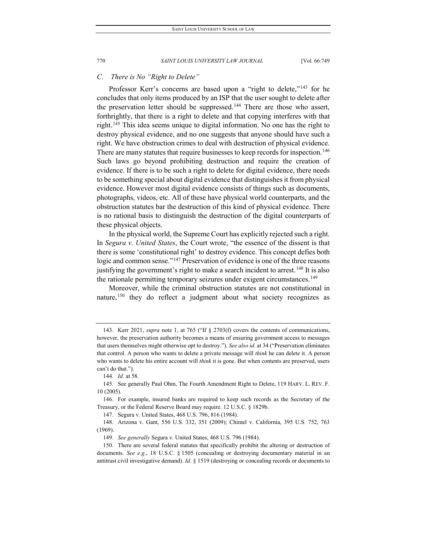### *C. There is No "Right to Delete"*

Professor Kerr's concerns are based upon a "right to delete,"<sup>[143](#page-22-0)</sup> for he concludes that only items produced by an ISP that the user sought to delete after the preservation letter should be suppressed.<sup>[144](#page-22-1)</sup> There are those who assert, forthrightly, that there is a right to delete and that copying interferes with that right.[145](#page-22-2) This idea seems unique to digital information. No one has the right to destroy physical evidence, and no one suggests that anyone should have such a right. We have obstruction crimes to deal with destruction of physical evidence. There are many statutes that require businesses to keep records for inspection.<sup>146</sup> Such laws go beyond prohibiting destruction and require the creation of evidence. If there is to be such a right to delete for digital evidence, there needs to be something special about digital evidence that distinguishes it from physical evidence. However most digital evidence consists of things such as documents, photographs, videos, etc. All of these have physical world counterparts, and the obstruction statutes bar the destruction of this kind of physical evidence. There is no rational basis to distinguish the destruction of the digital counterparts of these physical objects.

In the physical world, the Supreme Court has explicitly rejected such a right. In *Segura v. United States*, the Court wrote, "the essence of the dissent is that there is some 'constitutional right' to destroy evidence. This concept defies both logic and common sense."<sup>[147](#page-22-4)</sup> Preservation of evidence is one of the three reasons justifying the government's right to make a search incident to arrest.<sup>[148](#page-22-5)</sup> It is also the rationale permitting temporary seizures under exigent circumstances.<sup>[149](#page-22-6)</sup>

Moreover, while the criminal obstruction statutes are not constitutional in nature,<sup>[150](#page-22-7)</sup> they do reflect a judgment about what society recognizes as

<span id="page-22-0"></span><sup>143.</sup> Kerr 2021, *supra* note 1, at 765 ("If § 2703(f) covers the contents of communications, however, the preservation authority becomes a means of ensuring government access to messages that users themselves might otherwise opt to destroy."). *See also id.* at 34 ("Preservation eliminates that control. A person who wants to delete a private message will *think* he can delete it. A person who wants to delete his entire account will *think* it is gone. But when contents are preserved, users can't do that.").

<sup>144</sup>*. Id*. at 58.

<span id="page-22-2"></span><span id="page-22-1"></span><sup>145.</sup> See generally Paul Ohm, The Fourth Amendment Right to Delete, 119 HARV. L. REV. F. 10 (2005).

<span id="page-22-3"></span><sup>146.</sup> For example, insured banks are required to keep such records as the Secretary of the Treasury, or the Federal Reserve Board may require. 12 U.S.C. § 1829b.

<sup>147.</sup> Segura v. United States, 468 U.S. 796, 816 (1984).

<span id="page-22-5"></span><span id="page-22-4"></span><sup>148.</sup> Arizona v. Gant, 556 U.S. 332, 351 (2009); Chimel v. California, 395 U.S. 752, 763 (1969).

<sup>149</sup>*. See generally* Segura v. United States, 468 U.S. 796 (1984).

<span id="page-22-7"></span><span id="page-22-6"></span><sup>150.</sup> There are several federal statutes that specifically prohibit the altering or destruction of documents. *See e.g*., 18 U.S.C. § 1505 (concealing or destroying documentary material in an antitrust civil investigative demand). *Id*. § 1519 (destroying or concealing records or documents to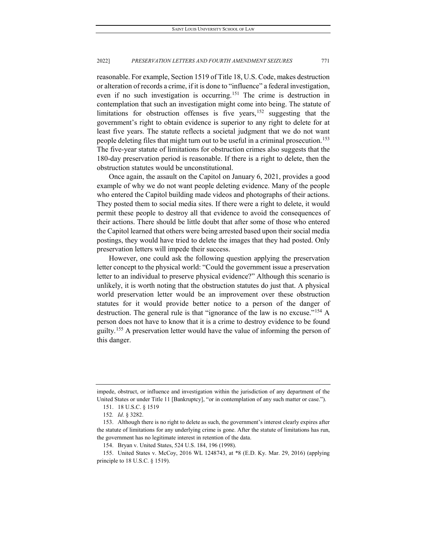reasonable. For example, Section 1519 of Title 18, U.S. Code, makes destruction or alteration of records a crime, if it is done to "influence" a federal investigation, even if no such investigation is occurring.<sup>[151](#page-23-0)</sup> The crime is destruction in contemplation that such an investigation might come into being. The statute of limitations for obstruction offenses is five years,  $152$  suggesting that the government's right to obtain evidence is superior to any right to delete for at least five years. The statute reflects a societal judgment that we do not want people deleting files that might turn out to be useful in a criminal prosecution.<sup>153</sup> The five-year statute of limitations for obstruction crimes also suggests that the 180-day preservation period is reasonable. If there is a right to delete, then the obstruction statutes would be unconstitutional.

Once again, the assault on the Capitol on January 6, 2021, provides a good example of why we do not want people deleting evidence. Many of the people who entered the Capitol building made videos and photographs of their actions. They posted them to social media sites. If there were a right to delete, it would permit these people to destroy all that evidence to avoid the consequences of their actions. There should be little doubt that after some of those who entered the Capitol learned that others were being arrested based upon their social media postings, they would have tried to delete the images that they had posted. Only preservation letters will impede their success.

However, one could ask the following question applying the preservation letter concept to the physical world: "Could the government issue a preservation letter to an individual to preserve physical evidence?" Although this scenario is unlikely, it is worth noting that the obstruction statutes do just that. A physical world preservation letter would be an improvement over these obstruction statutes for it would provide better notice to a person of the danger of destruction. The general rule is that "ignorance of the law is no excuse.["154](#page-23-3) A person does not have to know that it is a crime to destroy evidence to be found guilty.<sup>[155](#page-23-4)</sup> A preservation letter would have the value of informing the person of this danger.

<span id="page-23-0"></span>impede, obstruct, or influence and investigation within the jurisdiction of any department of the United States or under Title 11 [Bankruptcy], "or in contemplation of any such matter or case.").

<sup>151.</sup> 18 U.S.C. § 1519

<sup>152</sup>*. Id*. § 3282.

<span id="page-23-2"></span><span id="page-23-1"></span><sup>153.</sup> Although there is no right to delete as such, the government's interest clearly expires after the statute of limitations for any underlying crime is gone. After the statute of limitations has run, the government has no legitimate interest in retention of the data.

<sup>154.</sup> Bryan v. United States, 524 U.S. 184, 196 (1998).

<span id="page-23-4"></span><span id="page-23-3"></span><sup>155.</sup> United States v. McCoy, 2016 WL 1248743, at \*8 (E.D. Ky. Mar. 29, 2016) (applying principle to 18 U.S.C. § 1519).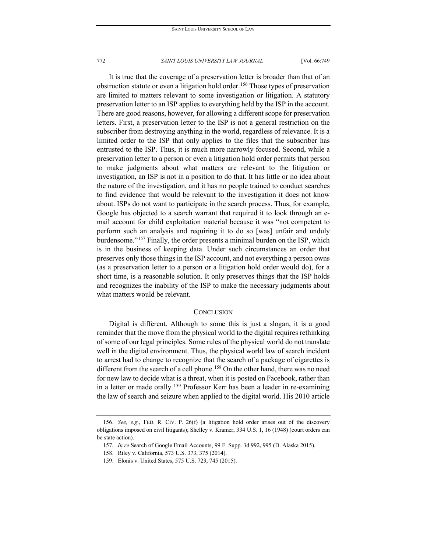It is true that the coverage of a preservation letter is broader than that of an obstruction statute or even a litigation hold order.<sup>[156](#page-24-0)</sup> Those types of preservation are limited to matters relevant to some investigation or litigation. A statutory preservation letter to an ISP applies to everything held by the ISP in the account. There are good reasons, however, for allowing a different scope for preservation letters. First, a preservation letter to the ISP is not a general restriction on the subscriber from destroying anything in the world, regardless of relevance. It is a limited order to the ISP that only applies to the files that the subscriber has entrusted to the ISP. Thus, it is much more narrowly focused. Second, while a preservation letter to a person or even a litigation hold order permits that person to make judgments about what matters are relevant to the litigation or investigation, an ISP is not in a position to do that. It has little or no idea about the nature of the investigation, and it has no people trained to conduct searches to find evidence that would be relevant to the investigation it does not know about. ISPs do not want to participate in the search process. Thus, for example, Google has objected to a search warrant that required it to look through an email account for child exploitation material because it was "not competent to perform such an analysis and requiring it to do so [was] unfair and unduly burdensome."[157](#page-24-1) Finally, the order presents a minimal burden on the ISP, which is in the business of keeping data. Under such circumstances an order that preserves only those things in the ISP account, and not everything a person owns (as a preservation letter to a person or a litigation hold order would do), for a short time, is a reasonable solution. It only preserves things that the ISP holds and recognizes the inability of the ISP to make the necessary judgments about what matters would be relevant.

### **CONCLUSION**

Digital is different. Although to some this is just a slogan, it is a good reminder that the move from the physical world to the digital requires rethinking of some of our legal principles. Some rules of the physical world do not translate well in the digital environment. Thus, the physical world law of search incident to arrest had to change to recognize that the search of a package of cigarettes is different from the search of a cell phone.<sup>158</sup> On the other hand, there was no need for new law to decide what is a threat, when it is posted on Facebook, rather than in a letter or made orally.<sup>[159](#page-24-3)</sup> Professor Kerr has been a leader in re-examining the law of search and seizure when applied to the digital world. His 2010 article

<span id="page-24-2"></span><span id="page-24-1"></span><span id="page-24-0"></span><sup>156.</sup> *See, e.g.*, FED. R. CIV. P. 26(f) (a litigation hold order arises out of the discovery obligations imposed on civil litigants); Shelley v. Kramer, 334 U.S. 1, 16 (1948) (court orders can be state action).

<sup>157</sup>*. In re* Search of Google Email Accounts, 99 F. Supp. 3d 992, 995 (D. Alaska 2015).

<span id="page-24-3"></span><sup>158.</sup> Riley v. California, 573 U.S. 373, 375 (2014).

<sup>159.</sup> Elonis v. United States, 575 U.S. 723, 745 (2015).